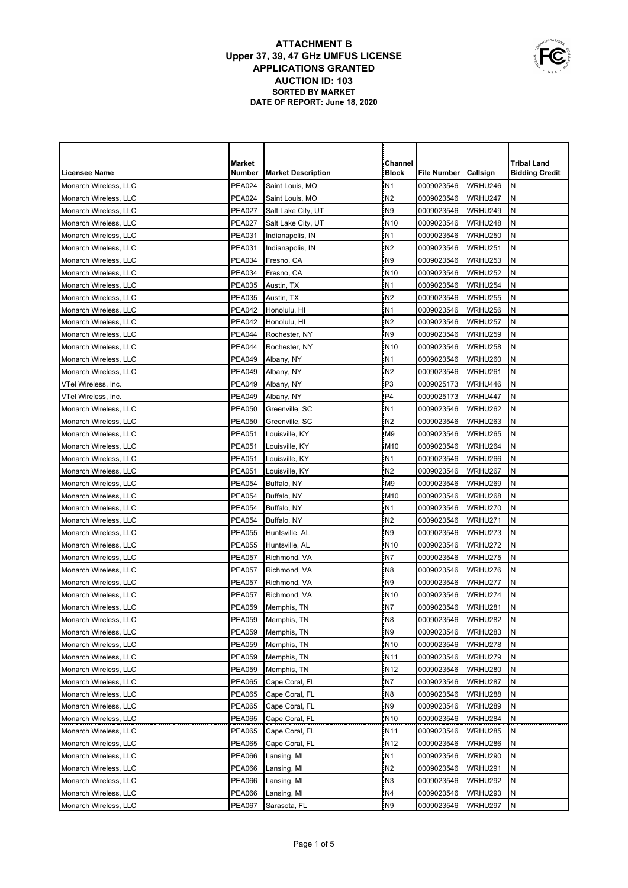|                       | Market        |                           | Channel         |                    |          | <b>Tribal Land</b>    |
|-----------------------|---------------|---------------------------|-----------------|--------------------|----------|-----------------------|
| <b>Licensee Name</b>  | Number        | <b>Market Description</b> | <b>Block</b>    | <b>File Number</b> | Callsign | <b>Bidding Credit</b> |
| Monarch Wireless, LLC | <b>PEA024</b> | Saint Louis, MO           | N <sub>1</sub>  | 0009023546         | WRHU246  | N                     |
| Monarch Wireless, LLC | <b>PEA024</b> | Saint Louis, MO           | N <sub>2</sub>  | 0009023546         | WRHU247  | N                     |
| Monarch Wireless, LLC | <b>PEA027</b> | Salt Lake City, UT        | N <sub>9</sub>  | 0009023546         | WRHU249  | Ν                     |
| Monarch Wireless, LLC | <b>PEA027</b> | Salt Lake City, UT        | N <sub>10</sub> | 0009023546         | WRHU248  | N                     |
| Monarch Wireless, LLC | <b>PEA031</b> | Indianapolis, IN          | N <sub>1</sub>  | 0009023546         | WRHU250  | N                     |
| Monarch Wireless, LLC | <b>PEA031</b> | Indianapolis, IN          | N <sub>2</sub>  | 0009023546         | WRHU251  | N                     |
| Monarch Wireless, LLC | <b>PEA034</b> | Fresno, CA                | N <sub>9</sub>  | 0009023546         | WRHU253  | N                     |
| Monarch Wireless, LLC | <b>PEA034</b> | Fresno, CA                | N <sub>10</sub> | 0009023546         | WRHU252  | ${\sf N}$             |
| Monarch Wireless, LLC | <b>PEA035</b> | Austin, TX                | N <sub>1</sub>  | 0009023546         | WRHU254  | ${\sf N}$             |
| Monarch Wireless, LLC | <b>PEA035</b> | Austin, TX                | N <sub>2</sub>  | 0009023546         | WRHU255  | N                     |
| Monarch Wireless, LLC | <b>PEA042</b> | Honolulu, HI              | N <sub>1</sub>  | 0009023546         | WRHU256  | N                     |
| Monarch Wireless, LLC | <b>PEA042</b> | Honolulu, HI              | N <sub>2</sub>  | 0009023546         | WRHU257  | N                     |
| Monarch Wireless, LLC | PEA044        | Rochester, NY             | N9              | 0009023546         | WRHU259  | N                     |
| Monarch Wireless, LLC | <b>PEA044</b> | Rochester, NY             | N <sub>10</sub> | 0009023546         | WRHU258  | N                     |
| Monarch Wireless, LLC | <b>PEA049</b> | Albany, NY                | N <sub>1</sub>  | 0009023546         | WRHU260  | Ν                     |
| Monarch Wireless, LLC | <b>PEA049</b> | Albany, NY                | N <sub>2</sub>  | 0009023546         | WRHU261  | N                     |
| VTel Wireless, Inc.   | <b>PEA049</b> | Albany, NY                | P <sub>3</sub>  | 0009025173         | WRHU446  | N                     |
| VTel Wireless, Inc.   | <b>PEA049</b> | Albany, NY                | P <sub>4</sub>  | 0009025173         | WRHU447  | N                     |
| Monarch Wireless, LLC | <b>PEA050</b> | Greenville, SC            | N <sub>1</sub>  | 0009023546         | WRHU262  | N                     |
| Monarch Wireless, LLC | <b>PEA050</b> | Greenville, SC            | N2              | 0009023546         | WRHU263  | N                     |
| Monarch Wireless, LLC | PEA051        | Louisville, KY            | M <sub>9</sub>  | 0009023546         | WRHU265  | N                     |
| Monarch Wireless, LLC | <b>PEA051</b> | Louisville, KY            | M <sub>10</sub> | 0009023546         | WRHU264  | N                     |
| Monarch Wireless, LLC | <b>PEA051</b> | Louisville, KY            | N <sub>1</sub>  | 0009023546         | WRHU266  | N                     |
| Monarch Wireless, LLC | <b>PEA051</b> | Louisville, KY            | N2              | 0009023546         | WRHU267  | N                     |
| Monarch Wireless, LLC | <b>PEA054</b> | Buffalo, NY               | M <sub>9</sub>  | 0009023546         | WRHU269  | N                     |
| Monarch Wireless, LLC | <b>PEA054</b> | Buffalo, NY               | M10             | 0009023546         | WRHU268  | Ν                     |
| Monarch Wireless, LLC | <b>PEA054</b> | Buffalo, NY               | N <sub>1</sub>  | 0009023546         | WRHU270  | Ν                     |
| Monarch Wireless, LLC | <b>PEA054</b> | Buffalo, NY               | N <sub>2</sub>  | 0009023546         | WRHU271  | N                     |
| Monarch Wireless, LLC | <b>PEA055</b> | Huntsville, AL            | N <sub>9</sub>  | 0009023546         | WRHU273  | N                     |
| Monarch Wireless, LLC | <b>PEA055</b> | Huntsville, AL            | N <sub>10</sub> | 0009023546         | WRHU272  | N                     |
| Monarch Wireless, LLC | <b>PEA057</b> | Richmond, VA              | N7              | 0009023546         | WRHU275  | N                     |
| Monarch Wireless, LLC | <b>PEA057</b> | Richmond, VA              | N <sub>8</sub>  | 0009023546         | WRHU276  | N                     |
| Monarch Wireless, LLC | <b>PEA057</b> | Richmond, VA              | N <sub>9</sub>  | 0009023546         | WRHU277  | N                     |
| Monarch Wireless, LLC | <b>PEA057</b> | Richmond, VA              | N <sub>10</sub> | 0009023546         | WRHU274  | N                     |
| Monarch Wireless, LLC | <b>PEA059</b> | Memphis, TN               | N7              | 0009023546         | WRHU281  | N                     |
| Monarch Wireless, LLC | <b>PEA059</b> | Memphis, TN               | N8              | 0009023546         | WRHU282  | N                     |
| Monarch Wireless, LLC | <b>PEA059</b> | Memphis, TN               | N <sub>9</sub>  | 0009023546         | WRHU283  | N                     |
| Monarch Wireless, LLC | <b>PEA059</b> | Memphis, TN               | N <sub>10</sub> | 0009023546         | WRHU278  | N                     |
| Monarch Wireless, LLC | <b>PEA059</b> | Memphis, TN               | N <sub>11</sub> | 0009023546         | WRHU279  | Ν                     |
| Monarch Wireless, LLC | <b>PEA059</b> | Memphis, TN               | N <sub>12</sub> | 0009023546         | WRHU280  | Ν                     |
| Monarch Wireless, LLC | <b>PEA065</b> | Cape Coral, FL            | N7              | 0009023546         | WRHU287  | Ν                     |
| Monarch Wireless, LLC | <b>PEA065</b> | Cape Coral, FL            | N8              | 0009023546         | WRHU288  | N                     |
| Monarch Wireless, LLC | PEA065        | Cape Coral, FL            | N <sub>9</sub>  | 0009023546         | WRHU289  | N                     |
| Monarch Wireless, LLC | <b>PEA065</b> | Cape Coral, FL            | N <sub>10</sub> | 0009023546         | WRHU284  | Ν                     |
| Monarch Wireless, LLC | <b>PEA065</b> | Cape Coral, FL            | N11             | 0009023546         | WRHU285  | Ν                     |
| Monarch Wireless, LLC | <b>PEA065</b> | Cape Coral, FL            | N <sub>12</sub> | 0009023546         | WRHU286  | Ν                     |
| Monarch Wireless, LLC | PEA066        | Lansing, MI               | N1              | 0009023546         | WRHU290  | Ν                     |
| Monarch Wireless, LLC | PEA066        | Lansing, MI               | N2              | 0009023546         | WRHU291  | N                     |
| Monarch Wireless, LLC | PEA066        | Lansing, MI               | N <sub>3</sub>  | 0009023546         | WRHU292  | N                     |
| Monarch Wireless, LLC | PEA066        | Lansing, MI               | N4              | 0009023546         | WRHU293  | N                     |
| Monarch Wireless, LLC | PEA067        | Sarasota, FL              | N <sub>9</sub>  | 0009023546         | WRHU297  | N                     |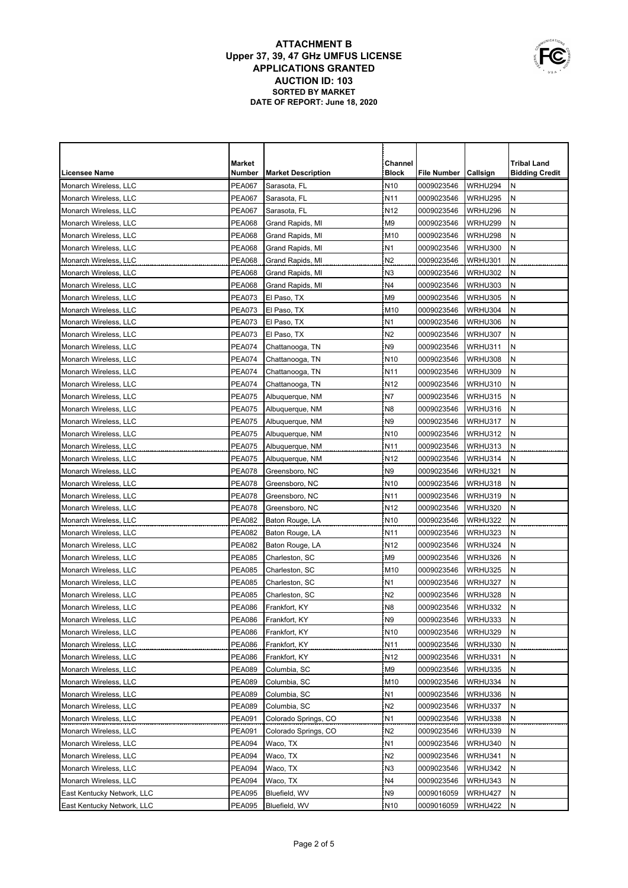|                            | Market        |                           | Channel         |             |          | <b>Tribal Land</b>    |
|----------------------------|---------------|---------------------------|-----------------|-------------|----------|-----------------------|
| <b>Licensee Name</b>       | Number        | <b>Market Description</b> | <b>Block</b>    | File Number | Callsign | <b>Bidding Credit</b> |
| Monarch Wireless, LLC      | <b>PEA067</b> | Sarasota, FL              | N <sub>10</sub> | 0009023546  | WRHU294  | N                     |
| Monarch Wireless, LLC      | <b>PEA067</b> | Sarasota, FL              | N <sub>11</sub> | 0009023546  | WRHU295  | N                     |
| Monarch Wireless, LLC      | <b>PEA067</b> | Sarasota, FL              | N <sub>12</sub> | 0009023546  | WRHU296  | Ν                     |
| Monarch Wireless, LLC      | <b>PEA068</b> | Grand Rapids, MI          | M <sub>9</sub>  | 0009023546  | WRHU299  | N                     |
| Monarch Wireless, LLC      | <b>PEA068</b> | Grand Rapids, MI          | M <sub>10</sub> | 0009023546  | WRHU298  | N                     |
| Monarch Wireless, LLC      | <b>PEA068</b> | Grand Rapids, MI          | N <sub>1</sub>  | 0009023546  | WRHU300  | N                     |
| Monarch Wireless, LLC      | <b>PEA068</b> | Grand Rapids, MI          | N <sub>2</sub>  | 0009023546  | WRHU301  | N                     |
| Monarch Wireless, LLC      | <b>PEA068</b> | Grand Rapids, MI          | N <sub>3</sub>  | 0009023546  | WRHU302  | ${\sf N}$             |
| Monarch Wireless, LLC      | <b>PEA068</b> | Grand Rapids, MI          | N4              | 0009023546  | WRHU303  | ${\sf N}$             |
| Monarch Wireless, LLC      | <b>PEA073</b> | El Paso, TX               | M <sub>9</sub>  | 0009023546  | WRHU305  | N                     |
| Monarch Wireless, LLC      | <b>PEA073</b> | El Paso, TX               | M <sub>10</sub> | 0009023546  | WRHU304  | N                     |
| Monarch Wireless, LLC      | <b>PEA073</b> | El Paso, TX               | N <sub>1</sub>  | 0009023546  | WRHU306  | N                     |
| Monarch Wireless, LLC      | <b>PEA073</b> | El Paso, TX               | N <sub>2</sub>  | 0009023546  | WRHU307  | N                     |
| Monarch Wireless, LLC      | <b>PEA074</b> | Chattanooga, TN           | N9              | 0009023546  | WRHU311  | N                     |
| Monarch Wireless, LLC      | <b>PEA074</b> | Chattanooga, TN           | N <sub>10</sub> | 0009023546  | WRHU308  | Ν                     |
| Monarch Wireless, LLC      | <b>PEA074</b> | Chattanooga, TN           | N <sub>11</sub> | 0009023546  | WRHU309  | N                     |
| Monarch Wireless, LLC      | <b>PEA074</b> | Chattanooga, TN           | N <sub>12</sub> | 0009023546  | WRHU310  | N                     |
| Monarch Wireless, LLC      | <b>PEA075</b> | Albuquerque, NM           | N7              | 0009023546  | WRHU315  | N                     |
| Monarch Wireless, LLC      | <b>PEA075</b> | Albuquerque, NM           | N8              | 0009023546  | WRHU316  | N                     |
| Monarch Wireless, LLC      | <b>PEA075</b> | Albuquerque, NM           | N <sub>9</sub>  | 0009023546  | WRHU317  | N                     |
| Monarch Wireless, LLC      | <b>PEA075</b> | Albuquerque, NM           | N <sub>10</sub> | 0009023546  | WRHU312  | Ν                     |
| Monarch Wireless, LLC      | <b>PEA075</b> | Albuquerque, NM           | N <sub>11</sub> | 0009023546  | WRHU313  | N                     |
| Monarch Wireless, LLC      | <b>PEA075</b> | Albuquerque, NM           | N <sub>12</sub> | 0009023546  | WRHU314  | N                     |
| Monarch Wireless, LLC      | <b>PEA078</b> | Greensboro, NC            | N <sub>9</sub>  | 0009023546  | WRHU321  | N                     |
| Monarch Wireless, LLC      | <b>PEA078</b> | Greensboro, NC            | N <sub>10</sub> | 0009023546  | WRHU318  | N                     |
| Monarch Wireless, LLC      | <b>PEA078</b> | Greensboro, NC            | N11             | 0009023546  | WRHU319  | N                     |
| Monarch Wireless, LLC      | <b>PEA078</b> | Greensboro, NC            | N <sub>12</sub> | 0009023546  | WRHU320  | Ν                     |
| Monarch Wireless, LLC      | <b>PEA082</b> | Baton Rouge, LA           | N <sub>10</sub> | 0009023546  | WRHU322  | N                     |
| Monarch Wireless, LLC      | <b>PEA082</b> | Baton Rouge, LA           | N <sub>11</sub> | 0009023546  | WRHU323  | N                     |
| Monarch Wireless, LLC      | <b>PEA082</b> | Baton Rouge, LA           | N <sub>12</sub> | 0009023546  | WRHU324  | N                     |
| Monarch Wireless, LLC      | <b>PEA085</b> | Charleston, SC            | M <sub>9</sub>  | 0009023546  | WRHU326  | N                     |
| Monarch Wireless, LLC      | <b>PEA085</b> | Charleston, SC            | M <sub>10</sub> | 0009023546  | WRHU325  | N                     |
| Monarch Wireless, LLC      | <b>PEA085</b> | Charleston, SC            | N <sub>1</sub>  | 0009023546  | WRHU327  | N                     |
| Monarch Wireless, LLC      | <b>PEA085</b> | Charleston, SC            | N <sub>2</sub>  | 0009023546  | WRHU328  | N                     |
| Monarch Wireless, LLC      | <b>PEA086</b> | Frankfort, KY             | N <sub>8</sub>  | 0009023546  | WRHU332  | N                     |
| Monarch Wireless, LLC      | <b>PEA086</b> | Frankfort, KY             | N <sub>9</sub>  | 0009023546  | WRHU333  | N                     |
| Monarch Wireless, LLC      | <b>PEA086</b> | Frankfort, KY             | N <sub>10</sub> | 0009023546  | WRHU329  | N                     |
| Monarch Wireless, LLC      | <b>PEA086</b> | Frankfort, KY             | N <sub>11</sub> | 0009023546  | WRHU330  | N                     |
| Monarch Wireless, LLC      | <b>PEA086</b> | Frankfort, KY             | N <sub>12</sub> | 0009023546  | WRHU331  | N                     |
| Monarch Wireless, LLC      | <b>PEA089</b> | Columbia, SC              | M9              | 0009023546  | WRHU335  | Ν                     |
| Monarch Wireless, LLC      | PEA089        | Columbia, SC              | M10             | 0009023546  | WRHU334  | Ν                     |
| Monarch Wireless, LLC      | PEA089        | Columbia, SC              | N1              | 0009023546  | WRHU336  | Ν                     |
| Monarch Wireless, LLC      | PEA089        | Columbia, SC              | N <sub>2</sub>  | 0009023546  | WRHU337  | Ν                     |
| Monarch Wireless, LLC      | <b>PEA091</b> | Colorado Springs, CO      | N <sub>1</sub>  | 0009023546  | WRHU338  | Ν                     |
| Monarch Wireless, LLC      | <b>PEA091</b> | Colorado Springs, CO      | N <sub>2</sub>  | 0009023546  | WRHU339  | Ν                     |
| Monarch Wireless, LLC      | PEA094        | Waco, TX                  | N1              | 0009023546  | WRHU340  | Ν                     |
| Monarch Wireless, LLC      | PEA094        | Waco, TX                  | N2              | 0009023546  | WRHU341  | N                     |
| Monarch Wireless, LLC      | PEA094        | Waco, TX                  | N3              | 0009023546  | WRHU342  | N                     |
| Monarch Wireless, LLC      | PEA094        | Waco, TX                  | N4              | 0009023546  | WRHU343  | N                     |
| East Kentucky Network, LLC | <b>PEA095</b> | Bluefield, WV             | N <sub>9</sub>  | 0009016059  | WRHU427  | N                     |
| East Kentucky Network, LLC | PEA095        | Bluefield, WV             | N <sub>10</sub> | 0009016059  | WRHU422  | ${\sf N}$             |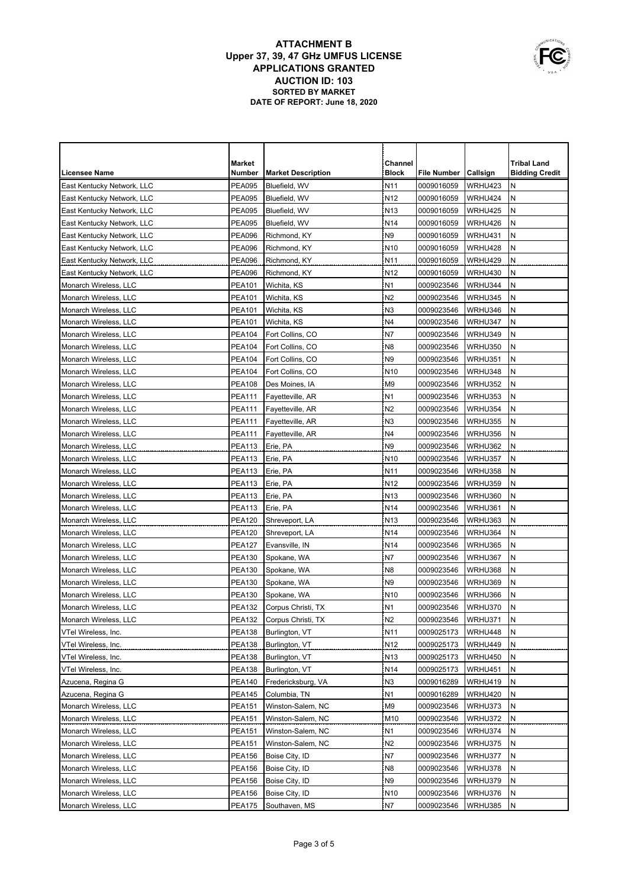|                            | <b>Market</b> |                           | Channel         |                    |          | <b>Tribal Land</b>    |
|----------------------------|---------------|---------------------------|-----------------|--------------------|----------|-----------------------|
| Licensee Name              | Number        | <b>Market Description</b> | <b>Block</b>    | <b>File Number</b> | Callsign | <b>Bidding Credit</b> |
| East Kentucky Network, LLC | <b>PEA095</b> | Bluefield, WV             | N <sub>11</sub> | 0009016059         | WRHU423  | N                     |
| East Kentucky Network, LLC | <b>PEA095</b> | Bluefield, WV             | N <sub>12</sub> | 0009016059         | WRHU424  | Ν                     |
| East Kentucky Network, LLC | <b>PEA095</b> | Bluefield, WV             | N <sub>13</sub> | 0009016059         | WRHU425  | N                     |
| East Kentucky Network, LLC | <b>PEA095</b> | Bluefield, WV             | N <sub>14</sub> | 0009016059         | WRHU426  | N                     |
| East Kentucky Network, LLC | <b>PEA096</b> | Richmond, KY              | N <sub>9</sub>  | 0009016059         | WRHU431  | N                     |
| East Kentucky Network, LLC | <b>PEA096</b> | Richmond, KY              | N <sub>10</sub> | 0009016059         | WRHU428  | N                     |
| East Kentucky Network, LLC | <b>PEA096</b> | Richmond, KY              | N <sub>11</sub> | 0009016059         | WRHU429  | N                     |
| East Kentucky Network, LLC | <b>PEA096</b> | Richmond, KY              | N <sub>12</sub> | 0009016059         | WRHU430  | N                     |
| Monarch Wireless, LLC      | <b>PEA101</b> | Wichita, KS               | N <sub>1</sub>  | 0009023546         | WRHU344  | N                     |
| Monarch Wireless, LLC      | <b>PEA101</b> | Wichita, KS               | N <sub>2</sub>  | 0009023546         | WRHU345  | N                     |
| Monarch Wireless, LLC      | <b>PEA101</b> | Wichita, KS               | N <sub>3</sub>  | 0009023546         | WRHU346  | N                     |
| Monarch Wireless, LLC      | <b>PEA101</b> | Wichita, KS               | N4              | 0009023546         | WRHU347  | N                     |
| Monarch Wireless, LLC      | <b>PEA104</b> | Fort Collins, CO          | N7              | 0009023546         | WRHU349  | N                     |
| Monarch Wireless. LLC      | <b>PEA104</b> | Fort Collins, CO          | N <sub>8</sub>  | 0009023546         | WRHU350  | N                     |
| Monarch Wireless. LLC      | <b>PEA104</b> | Fort Collins, CO          | N <sub>9</sub>  | 0009023546         | WRHU351  | N                     |
| Monarch Wireless, LLC      | <b>PEA104</b> | Fort Collins, CO          | N <sub>10</sub> | 0009023546         | WRHU348  | Ν                     |
| Monarch Wireless, LLC      | <b>PEA108</b> | Des Moines, IA            | M <sub>9</sub>  | 0009023546         | WRHU352  | N                     |
| Monarch Wireless, LLC      | <b>PEA111</b> | Fayetteville, AR          | N <sub>1</sub>  | 0009023546         | WRHU353  | N                     |
| Monarch Wireless, LLC      | <b>PEA111</b> | Fayetteville, AR          | N <sub>2</sub>  | 0009023546         | WRHU354  | N                     |
| Monarch Wireless, LLC      | <b>PEA111</b> | Fayetteville, AR          | N <sub>3</sub>  | 0009023546         | WRHU355  | N                     |
| Monarch Wireless, LLC      | <b>PEA111</b> | Fayetteville, AR          | N4              | 0009023546         | WRHU356  | N                     |
| Monarch Wireless, LLC      | <b>PEA113</b> | Erie, PA                  | N <sub>9</sub>  | 0009023546         | WRHU362  | N                     |
| Monarch Wireless, LLC      | <b>PEA113</b> | Erie, PA                  | N <sub>10</sub> | 0009023546         | WRHU357  | N                     |
| Monarch Wireless, LLC      | <b>PEA113</b> | Erie, PA                  | N <sub>11</sub> | 0009023546         | WRHU358  | Ν                     |
| Monarch Wireless, LLC      | <b>PEA113</b> | Erie, PA                  | N <sub>12</sub> | 0009023546         | WRHU359  | N                     |
| Monarch Wireless, LLC      | <b>PEA113</b> | Erie, PA                  | N <sub>13</sub> | 0009023546         | WRHU360  | N                     |
| Monarch Wireless, LLC      | <b>PEA113</b> | Erie, PA                  | N <sub>14</sub> | 0009023546         | WRHU361  | N                     |
| Monarch Wireless, LLC      | <b>PEA120</b> | Shreveport, LA            | N <sub>13</sub> | 0009023546         | WRHU363  | N                     |
| Monarch Wireless, LLC      | <b>PEA120</b> | Shreveport, LA            | N <sub>14</sub> | 0009023546         | WRHU364  | N                     |
| Monarch Wireless, LLC      | <b>PEA127</b> | Evansville, IN            | N <sub>14</sub> | 0009023546         | WRHU365  | Ν                     |
| Monarch Wireless, LLC      | <b>PEA130</b> | Spokane, WA               | N7              | 0009023546         | WRHU367  | N                     |
| Monarch Wireless, LLC      | <b>PEA130</b> | Spokane, WA               | N <sub>8</sub>  | 0009023546         | WRHU368  | N                     |
| Monarch Wireless, LLC      | <b>PEA130</b> | Spokane, WA               | N <sub>9</sub>  | 0009023546         | WRHU369  | N                     |
| Monarch Wireless, LLC      | <b>PEA130</b> | Spokane, WA               | N <sub>10</sub> | 0009023546         | WRHU366  | N                     |
| Monarch Wireless, LLC      | <b>PEA132</b> | Corpus Christi, TX        | N <sub>1</sub>  | 0009023546         | WRHU370  | N                     |
| Monarch Wireless, LLC      | <b>PEA132</b> | Corpus Christi, TX        | N <sub>2</sub>  | 0009023546         | WRHU371  | N                     |
| VTel Wireless, Inc.        | <b>PEA138</b> | Burlington, VT            | N <sub>11</sub> | 0009025173         | WRHU448  | N                     |
| VTel Wireless, Inc.        | <b>PEA138</b> | Burlington, VT            | N <sub>12</sub> | 0009025173         | WRHU449  | N                     |
| VTel Wireless, Inc.        | <b>PEA138</b> | Burlington, VT            | N <sub>13</sub> | 0009025173         | WRHU450  | N                     |
| VTel Wireless, Inc.        | <b>PEA138</b> | Burlington, VT            | N <sub>14</sub> | 0009025173         | WRHU451  | Ν                     |
| Azucena, Regina G          | <b>PEA140</b> | Fredericksburg, VA        | N <sub>3</sub>  | 0009016289         | WRHU419  | Ν                     |
| Azucena, Regina G          | <b>PEA145</b> | Columbia, TN              | N <sub>1</sub>  | 0009016289         | WRHU420  | Ν                     |
| Monarch Wireless, LLC      | <b>PEA151</b> | Winston-Salem, NC         | M <sub>9</sub>  | 0009023546         | WRHU373  | Ν                     |
| Monarch Wireless, LLC      | PEA151        | Winston-Salem, NC         | M10             | 0009023546         | WRHU372  | Ν                     |
| Monarch Wireless, LLC      | PEA151        | Winston-Salem, NC         | N <sub>1</sub>  | 0009023546         | WRHU374  | N                     |
| Monarch Wireless, LLC      | <b>PEA151</b> | Winston-Salem, NC         | N <sub>2</sub>  | 0009023546         | WRHU375  | Ν                     |
| Monarch Wireless, LLC      | <b>PEA156</b> | Boise City, ID            | N7              | 0009023546         | WRHU377  | Ν                     |
| Monarch Wireless, LLC      | <b>PEA156</b> | Boise City, ID            | N <sub>8</sub>  | 0009023546         | WRHU378  | N                     |
| Monarch Wireless, LLC      | PEA156        | Boise City, ID            | N <sub>9</sub>  | 0009023546         | WRHU379  | N                     |
| Monarch Wireless, LLC      | PEA156        | Boise City, ID            | N <sub>10</sub> | 0009023546         | WRHU376  | N                     |
| Monarch Wireless, LLC      | <b>PEA175</b> | Southaven, MS             | N7              | 0009023546         | WRHU385  | Ν                     |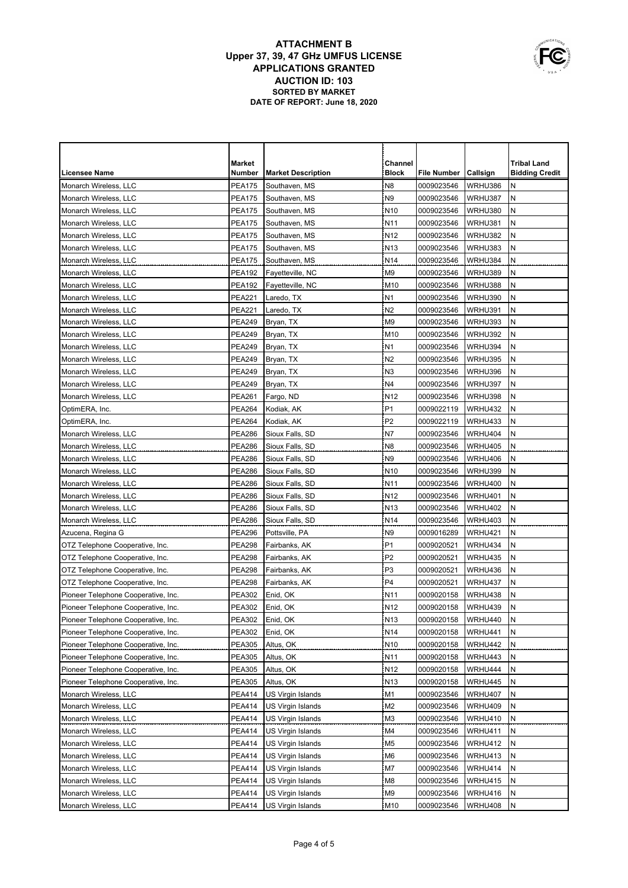|                                     | <b>Market</b> |                           | Channel         |             |                 | <b>Tribal Land</b>    |
|-------------------------------------|---------------|---------------------------|-----------------|-------------|-----------------|-----------------------|
| <b>Licensee Name</b>                | Number        | <b>Market Description</b> | <b>Block</b>    | File Number | <b>Callsign</b> | <b>Bidding Credit</b> |
| Monarch Wireless, LLC               | <b>PEA175</b> | Southaven, MS             | N <sub>8</sub>  | 0009023546  | WRHU386         | Ν                     |
| Monarch Wireless, LLC               | <b>PEA175</b> | Southaven, MS             | N <sub>9</sub>  | 0009023546  | WRHU387         | N                     |
| Monarch Wireless, LLC               | <b>PEA175</b> | Southaven, MS             | N <sub>10</sub> | 0009023546  | WRHU380         | N                     |
| Monarch Wireless, LLC               | <b>PEA175</b> | Southaven, MS             | N <sub>11</sub> | 0009023546  | WRHU381         | Ν                     |
| Monarch Wireless, LLC               | <b>PEA175</b> | Southaven, MS             | N <sub>12</sub> | 0009023546  | WRHU382         | N                     |
| Monarch Wireless, LLC               | <b>PEA175</b> | Southaven, MS             | N <sub>13</sub> | 0009023546  | WRHU383         | N                     |
| Monarch Wireless, LLC               | <b>PEA175</b> | Southaven, MS             | N <sub>14</sub> | 0009023546  | WRHU384         | N                     |
| Monarch Wireless, LLC               | <b>PEA192</b> | Fayetteville, NC          | M <sub>9</sub>  | 0009023546  | WRHU389         | N                     |
| Monarch Wireless, LLC               | <b>PEA192</b> | Fayetteville, NC          | M <sub>10</sub> | 0009023546  | WRHU388         | N                     |
| Monarch Wireless, LLC               | <b>PEA221</b> | Laredo, TX                | N <sub>1</sub>  | 0009023546  | WRHU390         | ${\sf N}$             |
| Monarch Wireless, LLC               | <b>PEA221</b> | Laredo, TX                | N <sub>2</sub>  | 0009023546  | WRHU391         | N                     |
| Monarch Wireless, LLC               | <b>PEA249</b> | Bryan, TX                 | M <sub>9</sub>  | 0009023546  | WRHU393         | N                     |
| Monarch Wireless, LLC               | <b>PEA249</b> | Bryan, TX                 | M <sub>10</sub> | 0009023546  | WRHU392         | N                     |
| Monarch Wireless, LLC               | <b>PEA249</b> | Bryan, TX                 | N <sub>1</sub>  | 0009023546  | WRHU394         | N                     |
| Monarch Wireless, LLC               | <b>PEA249</b> | Bryan, TX                 | N <sub>2</sub>  | 0009023546  | WRHU395         | N                     |
| Monarch Wireless, LLC               | <b>PEA249</b> | Bryan, TX                 | N <sub>3</sub>  | 0009023546  | WRHU396         | Ν                     |
| Monarch Wireless, LLC               | <b>PEA249</b> | Bryan, TX                 | N4              | 0009023546  | WRHU397         | N                     |
| Monarch Wireless, LLC               | <b>PEA261</b> | Fargo, ND                 | N <sub>12</sub> | 0009023546  | WRHU398         | N                     |
| OptimERA, Inc.                      | PEA264        | Kodiak, AK                | P <sub>1</sub>  | 0009022119  | WRHU432         | N                     |
| OptimERA, Inc.                      | PEA264        | Kodiak, AK                | P <sub>2</sub>  | 0009022119  | WRHU433         | N                     |
| Monarch Wireless, LLC               | <b>PEA286</b> | Sioux Falls, SD           | N7              | 0009023546  | WRHU404         | N                     |
| Monarch Wireless, LLC               | <b>PEA286</b> | Sioux Falls, SD           | N8              | 0009023546  | WRHU405         | N                     |
| Monarch Wireless, LLC               | <b>PEA286</b> | Sioux Falls, SD           | N9              | 0009023546  | WRHU406         | N                     |
| Monarch Wireless, LLC               | <b>PEA286</b> | Sioux Falls, SD           | N <sub>10</sub> | 0009023546  | WRHU399         | N                     |
| Monarch Wireless, LLC               | <b>PEA286</b> | Sioux Falls, SD           | N <sub>11</sub> | 0009023546  | WRHU400         | N                     |
| Monarch Wireless, LLC               | <b>PEA286</b> | Sioux Falls, SD           | N <sub>12</sub> | 0009023546  | WRHU401         | Ν                     |
| Monarch Wireless, LLC               | <b>PEA286</b> | Sioux Falls, SD           | N <sub>13</sub> | 0009023546  | WRHU402         | N                     |
| Monarch Wireless, LLC               | <b>PEA286</b> | Sioux Falls, SD           | N <sub>14</sub> | 0009023546  | WRHU403         | Ν                     |
| Azucena, Regina G                   | <b>PEA296</b> | Pottsville, PA            | N <sub>9</sub>  | 0009016289  | WRHU421         | N                     |
| OTZ Telephone Cooperative, Inc.     | <b>PEA298</b> | Fairbanks, AK             | P <sub>1</sub>  | 0009020521  | WRHU434         | N                     |
| OTZ Telephone Cooperative, Inc.     | <b>PEA298</b> | Fairbanks, AK             | P <sub>2</sub>  | 0009020521  | WRHU435         | N                     |
| OTZ Telephone Cooperative, Inc.     | <b>PEA298</b> | Fairbanks, AK             | P <sub>3</sub>  | 0009020521  | WRHU436         | N                     |
| OTZ Telephone Cooperative, Inc.     | <b>PEA298</b> | Fairbanks, AK             | P <sub>4</sub>  | 0009020521  | WRHU437         | N                     |
| Pioneer Telephone Cooperative, Inc. | <b>PEA302</b> | Enid, OK                  | N11             | 0009020158  | WRHU438         | N                     |
| Pioneer Telephone Cooperative, Inc. | <b>PEA302</b> | Enid, OK                  | N <sub>12</sub> | 0009020158  | WRHU439         | N                     |
| Pioneer Telephone Cooperative, Inc. | <b>PEA302</b> | Enid, OK                  | N <sub>13</sub> | 0009020158  | WRHU440         | N                     |
| Pioneer Telephone Cooperative, Inc. | PEA302        | Enid, OK                  | N <sub>14</sub> | 0009020158  | WRHU441         | N                     |
| Pioneer Telephone Cooperative, Inc. | PEA305        | Altus, OK                 | N <sub>10</sub> | 0009020158  | WRHU442         | N                     |
| Pioneer Telephone Cooperative, Inc. | PEA305        | Altus, OK                 | N <sub>11</sub> | 0009020158  | WRHU443         | N                     |
| Pioneer Telephone Cooperative, Inc. | <b>PEA305</b> | Altus, OK                 | N <sub>12</sub> | 0009020158  | WRHU444         | Ν                     |
| Pioneer Telephone Cooperative, Inc. | <b>PEA305</b> | Altus, OK                 | N <sub>13</sub> | 0009020158  | WRHU445         | Ν                     |
| Monarch Wireless, LLC               | <b>PEA414</b> | US Virgin Islands         | M1              | 0009023546  | WRHU407         | N                     |
| Monarch Wireless, LLC               | PEA414        | US Virgin Islands         | M <sub>2</sub>  | 0009023546  | WRHU409         | Ν                     |
| Monarch Wireless, LLC               | PEA414        | US Virgin Islands         | M3              | 0009023546  | WRHU410         | Ν                     |
| Monarch Wireless, LLC               | PEA414        | US Virgin Islands         | M4              | 0009023546  | WRHU411         | Ν                     |
| Monarch Wireless, LLC               | PEA414        | US Virgin Islands         | M5              | 0009023546  | WRHU412         | Ν                     |
| Monarch Wireless, LLC               | PEA414        | US Virgin Islands         | M6              | 0009023546  | WRHU413         | Ν                     |
| Monarch Wireless, LLC               | PEA414        | US Virgin Islands         | M7              | 0009023546  | WRHU414         | Ν                     |
| Monarch Wireless, LLC               | PEA414        | US Virgin Islands         | M8              | 0009023546  | <b>WRHU415</b>  | Ν                     |
| Monarch Wireless, LLC               | <b>PEA414</b> | US Virgin Islands         | M9              | 0009023546  | WRHU416         | Ν                     |
| Monarch Wireless, LLC               | PEA414        | US Virgin Islands         | M10             | 0009023546  | WRHU408         | Ν                     |